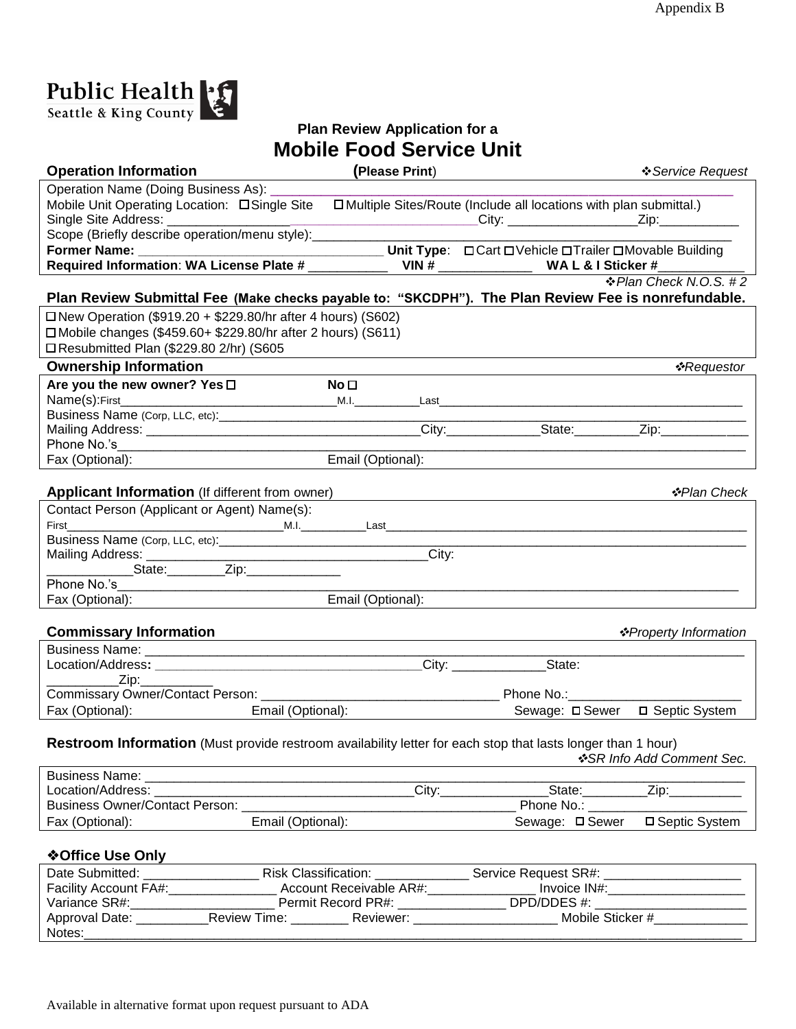

## **Plan Review Application for a Mobile Food Service Unit**

| <b>Operation Information</b>                                                                                                              | (Please Print)    |                                                                                  | ❖ Service Request                                                                                                                                                                                                              |
|-------------------------------------------------------------------------------------------------------------------------------------------|-------------------|----------------------------------------------------------------------------------|--------------------------------------------------------------------------------------------------------------------------------------------------------------------------------------------------------------------------------|
| Operation Name (Doing Business As): __                                                                                                    |                   |                                                                                  |                                                                                                                                                                                                                                |
| Single Site Address: _____________________                                                                                                |                   |                                                                                  |                                                                                                                                                                                                                                |
| Scope (Briefly describe operation/menu style): _______________                                                                            |                   |                                                                                  |                                                                                                                                                                                                                                |
|                                                                                                                                           |                   |                                                                                  |                                                                                                                                                                                                                                |
|                                                                                                                                           |                   |                                                                                  |                                                                                                                                                                                                                                |
| ❖ Plan Check N.O.S. #2<br>Plan Review Submittal Fee (Make checks payable to: "SKCDPH"). The Plan Review Fee is nonrefundable.             |                   |                                                                                  |                                                                                                                                                                                                                                |
| □ New Operation (\$919.20 + \$229.80/hr after 4 hours) (S602)                                                                             |                   |                                                                                  |                                                                                                                                                                                                                                |
| □ Mobile changes (\$459.60+ \$229.80/hr after 2 hours) (S611)                                                                             |                   |                                                                                  |                                                                                                                                                                                                                                |
| □ Resubmitted Plan (\$229.80 2/hr) (S605                                                                                                  |                   |                                                                                  |                                                                                                                                                                                                                                |
| <b>Ownership Information</b>                                                                                                              |                   |                                                                                  | <i>❖Requestor</i>                                                                                                                                                                                                              |
| Are you the new owner? Yes □                                                                                                              | No <sub>1</sub>   |                                                                                  |                                                                                                                                                                                                                                |
|                                                                                                                                           |                   |                                                                                  |                                                                                                                                                                                                                                |
|                                                                                                                                           |                   |                                                                                  |                                                                                                                                                                                                                                |
|                                                                                                                                           |                   |                                                                                  |                                                                                                                                                                                                                                |
| Phone No.'s <b>Phone No.'s</b>                                                                                                            |                   |                                                                                  |                                                                                                                                                                                                                                |
| Fax (Optional):                                                                                                                           | Email (Optional): |                                                                                  |                                                                                                                                                                                                                                |
|                                                                                                                                           |                   |                                                                                  |                                                                                                                                                                                                                                |
| <b>Applicant Information</b> (If different from owner)                                                                                    |                   |                                                                                  | ❖Plan Check                                                                                                                                                                                                                    |
| Contact Person (Applicant or Agent) Name(s):                                                                                              |                   |                                                                                  |                                                                                                                                                                                                                                |
|                                                                                                                                           |                   |                                                                                  |                                                                                                                                                                                                                                |
|                                                                                                                                           |                   |                                                                                  |                                                                                                                                                                                                                                |
| _________________State:___________Zip:__________________                                                                                  | City:             |                                                                                  |                                                                                                                                                                                                                                |
|                                                                                                                                           |                   |                                                                                  |                                                                                                                                                                                                                                |
| Fax (Optional):                                                                                                                           | Email (Optional): |                                                                                  |                                                                                                                                                                                                                                |
|                                                                                                                                           |                   |                                                                                  |                                                                                                                                                                                                                                |
| <b>Commissary Information</b>                                                                                                             |                   |                                                                                  | ❖ Property Information                                                                                                                                                                                                         |
|                                                                                                                                           |                   |                                                                                  |                                                                                                                                                                                                                                |
|                                                                                                                                           |                   | City: State:                                                                     |                                                                                                                                                                                                                                |
| <b>Example 2</b> Zip:                                                                                                                     |                   |                                                                                  |                                                                                                                                                                                                                                |
|                                                                                                                                           |                   |                                                                                  |                                                                                                                                                                                                                                |
| Fax (Optional): Email (Optional):                                                                                                         |                   | Sewage: □ Sewer □ Septic System                                                  |                                                                                                                                                                                                                                |
| Restroom Information (Must provide restroom availability letter for each stop that lasts longer than 1 hour)<br>❖SR Info Add Comment Sec. |                   |                                                                                  |                                                                                                                                                                                                                                |
|                                                                                                                                           |                   |                                                                                  |                                                                                                                                                                                                                                |
|                                                                                                                                           |                   | State:_________                                                                  | Zip: the contract of the contract of the contract of the contract of the contract of the contract of the contract of the contract of the contract of the contract of the contract of the contract of the contract of the contr |
| <b>Business Owner/Contact Person:</b>                                                                                                     |                   | Phone No.: ______                                                                |                                                                                                                                                                                                                                |
| Fax (Optional):                                                                                                                           | Email (Optional): | Sewage: □ Sewer                                                                  | □ Septic System                                                                                                                                                                                                                |
|                                                                                                                                           |                   |                                                                                  |                                                                                                                                                                                                                                |
| <b>❖Office Use Only</b>                                                                                                                   |                   |                                                                                  |                                                                                                                                                                                                                                |
|                                                                                                                                           |                   |                                                                                  |                                                                                                                                                                                                                                |
| Facility Account FA#:_____________________ Account Receivable AR#:______________                                                          |                   |                                                                                  | Invoice IN#: ________________________                                                                                                                                                                                          |
| Variance SR#:                                                                                                                             |                   | Permit Record PR#: ________________________ DPD/DDES #: ________________________ |                                                                                                                                                                                                                                |

Approval Date: \_\_\_\_\_\_\_\_\_\_\_Review Time: \_\_\_\_\_\_\_\_\_ Reviewer: \_\_\_\_\_\_\_\_\_\_\_\_\_\_\_\_\_\_ Mobile Sticker #\_\_\_\_\_\_\_\_\_\_\_\_\_\_\_ Notes:\_\_\_\_\_\_\_\_\_\_\_\_\_\_\_\_\_\_\_\_\_\_\_\_\_\_\_\_\_\_\_\_\_\_\_\_\_\_\_\_\_\_\_\_\_\_\_\_\_\_\_\_\_\_\_\_\_\_\_\_\_\_\_\_\_\_\_\_\_\_\_\_\_\_\_\_\_\_\_\_\_\_\_\_\_\_\_\_\_\_\_